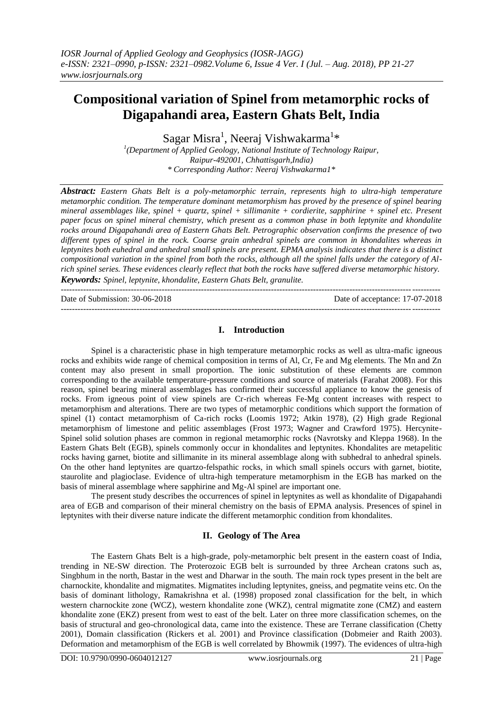# **Compositional variation of Spinel from metamorphic rocks of Digapahandi area, Eastern Ghats Belt, India**

Sagar Misra<sup>1</sup>, Neeraj Vishwakarma<sup>1</sup>\*

<sup>1</sup>(Department of Applied Geology, National Institute of Technology Raipur, *Raipur-492001, Chhattisgarh,India) \* Corresponding Author: Neeraj Vishwakarma1\**

*Abstract: Eastern Ghats Belt is a poly-metamorphic terrain, represents high to ultra-high temperature metamorphic condition. The temperature dominant metamorphism has proved by the presence of spinel bearing mineral assemblages like, spinel + quartz, spinel + sillimanite + cordierite, sapphirine + spinel etc. Present paper focus on spinel mineral chemistry, which present as a common phase in both leptynite and khondalite rocks around Digapahandi area of Eastern Ghats Belt. Petrographic observation confirms the presence of two different types of spinel in the rock. Coarse grain anhedral spinels are common in khondalites whereas in leptynites both euhedral and anhedral small spinels are present. EPMA analysis indicates that there is a distinct compositional variation in the spinel from both the rocks, although all the spinel falls under the category of Alrich spinel series. These evidences clearly reflect that both the rocks have suffered diverse metamorphic history. Keywords: Spinel, leptynite, khondalite, Eastern Ghats Belt, granulite.*

---------------------------------------------------------------------------------------------------------------------------------------

Date of Submission: 30-06-2018 Date of acceptance: 17-07-2018

## **I. Introduction**

---------------------------------------------------------------------------------------------------------------------------------------

Spinel is a characteristic phase in high temperature metamorphic rocks as well as ultra-mafic igneous rocks and exhibits wide range of chemical composition in terms of Al, Cr, Fe and Mg elements. The Mn and Zn content may also present in small proportion. The ionic substitution of these elements are common corresponding to the available temperature-pressure conditions and source of materials (Farahat 2008). For this reason, spinel bearing mineral assemblages has confirmed their successful appliance to know the genesis of rocks. From igneous point of view spinels are Cr-rich whereas Fe-Mg content increases with respect to metamorphism and alterations. There are two types of metamorphic conditions which support the formation of spinel (1) contact metamorphism of Ca-rich rocks (Loomis 1972; Atkin 1978), (2) High grade Regional metamorphism of limestone and pelitic assemblages (Frost 1973; Wagner and Crawford 1975). Hercynite-Spinel solid solution phases are common in regional metamorphic rocks (Navrotsky and Kleppa 1968). In the Eastern Ghats Belt (EGB), spinels commonly occur in khondalites and leptynites. Khondalites are metapelitic rocks having garnet, biotite and sillimanite in its mineral assemblage along with subhedral to anhedral spinels. On the other hand leptynites are quartzo-felspathic rocks, in which small spinels occurs with garnet, biotite, staurolite and plagioclase. Evidence of ultra-high temperature metamorphism in the EGB has marked on the basis of mineral assemblage where sapphirine and Mg-Al spinel are important one.

The present study describes the occurrences of spinel in leptynites as well as khondalite of Digapahandi area of EGB and comparison of their mineral chemistry on the basis of EPMA analysis. Presences of spinel in leptynites with their diverse nature indicate the different metamorphic condition from khondalites.

### **II. Geology of The Area**

The Eastern Ghats Belt is a high-grade, poly-metamorphic belt present in the eastern coast of India, trending in NE-SW direction. The Proterozoic EGB belt is surrounded by three Archean cratons such as, Singbhum in the north, Bastar in the west and Dharwar in the south. The main rock types present in the belt are charnockite, khondalite and migmatites. Migmatites including leptynites, gneiss, and pegmatite veins etc. On the basis of dominant lithology, Ramakrishna et al. (1998) proposed zonal classification for the belt, in which western charnockite zone (WCZ), western khondalite zone (WKZ), central migmatite zone (CMZ) and eastern khondalite zone (EKZ) present from west to east of the belt. Later on three more classification schemes, on the basis of structural and geo-chronological data, came into the existence. These are Terrane classification (Chetty 2001), Domain classification (Rickers et al. 2001) and Province classification (Dobmeier and Raith 2003). Deformation and metamorphism of the EGB is well correlated by Bhowmik (1997). The evidences of ultra-high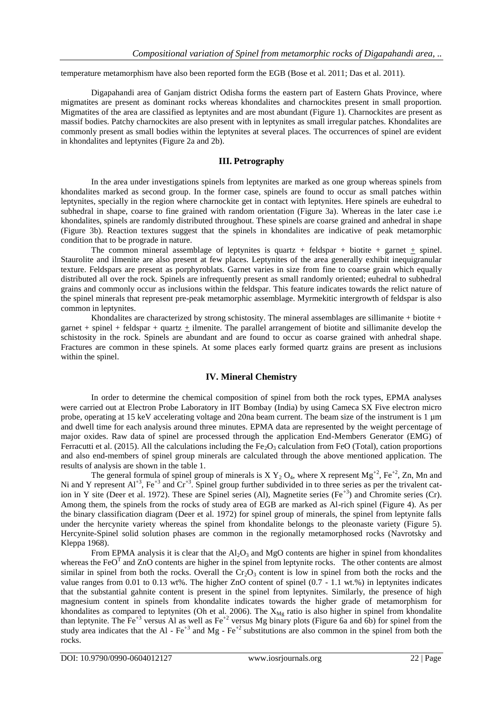temperature metamorphism have also been reported form the EGB (Bose et al. 2011; Das et al. 2011).

Digapahandi area of Ganjam district Odisha forms the eastern part of Eastern Ghats Province, where migmatites are present as dominant rocks whereas khondalites and charnockites present in small proportion. Migmatites of the area are classified as leptynites and are most abundant (Figure 1). Charnockites are present as massif bodies. Patchy charnockites are also present with in leptynites as small irregular patches. Khondalites are commonly present as small bodies within the leptynites at several places. The occurrences of spinel are evident in khondalites and leptynites (Figure 2a and 2b).

## **III. Petrography**

In the area under investigations spinels from leptynites are marked as one group whereas spinels from khondalites marked as second group. In the former case, spinels are found to occur as small patches within leptynites, specially in the region where charnockite get in contact with leptynites. Here spinels are euhedral to subhedral in shape, coarse to fine grained with random orientation (Figure 3a). Whereas in the later case i.e khondalites, spinels are randomly distributed throughout. These spinels are coarse grained and anhedral in shape (Figure 3b). Reaction textures suggest that the spinels in khondalites are indicative of peak metamorphic condition that to be prograde in nature.

The common mineral assemblage of leptynites is quartz + feldspar + biotite + garnet  $\pm$  spinel. Staurolite and ilmenite are also present at few places. Leptynites of the area generally exhibit inequigranular texture. Feldspars are present as porphyroblats. Garnet varies in size from fine to coarse grain which equally distributed all over the rock. Spinels are infrequently present as small randomly oriented; euhedral to subhedral grains and commonly occur as inclusions within the feldspar. This feature indicates towards the relict nature of the spinel minerals that represent pre-peak metamorphic assemblage. Myrmekitic intergrowth of feldspar is also common in leptynites.

Khondalites are characterized by strong schistosity. The mineral assemblages are sillimanite + biotite + garnet + spinel + feldspar + quartz  $\pm$  ilmenite. The parallel arrangement of biotite and sillimanite develop the schistosity in the rock. Spinels are abundant and are found to occur as coarse grained with anhedral shape. Fractures are common in these spinels. At some places early formed quartz grains are present as inclusions within the spinel.

### **IV. Mineral Chemistry**

In order to determine the chemical composition of spinel from both the rock types, EPMA analyses were carried out at Electron Probe Laboratory in IIT Bombay (India) by using Cameca SX Five electron micro probe, operating at 15 keV accelerating voltage and 20na beam current. The beam size of the instrument is 1 µm and dwell time for each analysis around three minutes. EPMA data are represented by the weight percentage of major oxides. Raw data of spinel are processed through the application End-Members Generator (EMG) of Ferracutti et al. (2015). All the calculations including the  $Fe<sub>2</sub>O<sub>3</sub>$  calculation from FeO (Total), cation proportions and also end-members of spinel group minerals are calculated through the above mentioned application. The results of analysis are shown in the table 1.

The general formula of spinel group of minerals is X  $Y_2 O_4$ , where X represent Mg<sup>+2</sup>, Fe<sup>+2</sup>, Zn, Mn and Ni and Y represent  $Al^{+3}$ , Fe<sup>+3</sup> and  $Cr^{+3}$ . Spinel group further subdivided in to three series as per the trivalent cation in Y site (Deer et al. 1972). These are Spinel series (Al), Magnetite series (Fe<sup>+3</sup>) and Chromite series (Cr). Among them, the spinels from the rocks of study area of EGB are marked as Al-rich spinel (Figure 4). As per the binary classification diagram (Deer et al. 1972) for spinel group of minerals, the spinel from leptynite falls under the hercynite variety whereas the spinel from khondalite belongs to the pleonaste variety (Figure 5). Hercynite-Spinel solid solution phases are common in the regionally metamorphosed rocks (Navrotsky and Kleppa 1968).

From EPMA analysis it is clear that the  $Al_2O_3$  and MgO contents are higher in spinel from khondalites whereas the FeO<sup>T</sup> and ZnO contents are higher in the spinel from leptynite rocks. The other contents are almost similar in spinel from both the rocks. Overall the  $Cr_2O_3$  content is low in spinel from both the rocks and the value ranges from 0.01 to 0.13 wt%. The higher ZnO content of spinel (0.7 - 1.1 wt.%) in leptynites indicates that the substantial gahnite content is present in the spinel from leptynites. Similarly, the presence of high magnesium content in spinels from khondalite indicates towards the higher grade of metamorphism for khondalites as compared to leptynites (Oh et al. 2006). The X<sub>Mg</sub> ratio is also higher in spinel from khondalite than leptynite. The Fe<sup>+3</sup> versus Al as well as Fe<sup>+2</sup> versus Mg binary plots (Figure 6a and 6b) for spinel from the study area indicates that the Al - Fe<sup>+3</sup> and Mg - Fe<sup>+2</sup> substitutions are also common in the spinel from both the rocks.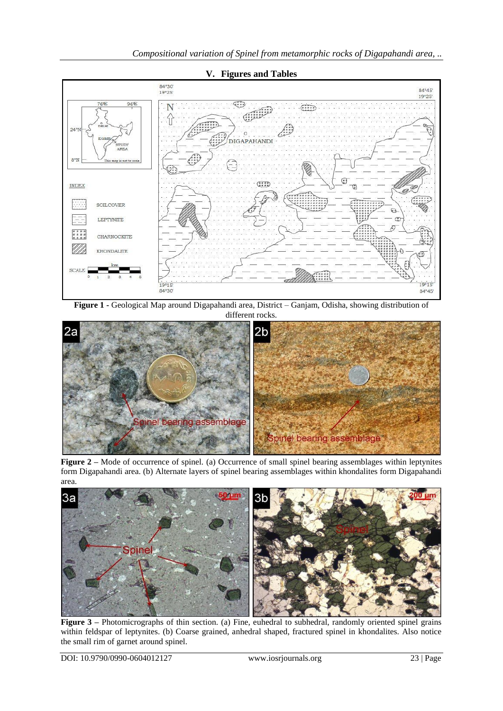

**V. Figures and Tables**

**Figure 1 -** Geological Map around Digapahandi area, District – Ganjam, Odisha, showing distribution of different rocks



**Figure 2 –** Mode of occurrence of spinel. (a) Occurrence of small spinel bearing assemblages within leptynites form Digapahandi area. (b) Alternate layers of spinel bearing assemblages within khondalites form Digapahandi area.



**Figure 3** – Photomicrographs of thin section. (a) Fine, euhedral to subhedral, randomly oriented spinel grains within feldspar of leptynites. (b) Coarse grained, anhedral shaped, fractured spinel in khondalites. Also notice the small rim of garnet around spinel.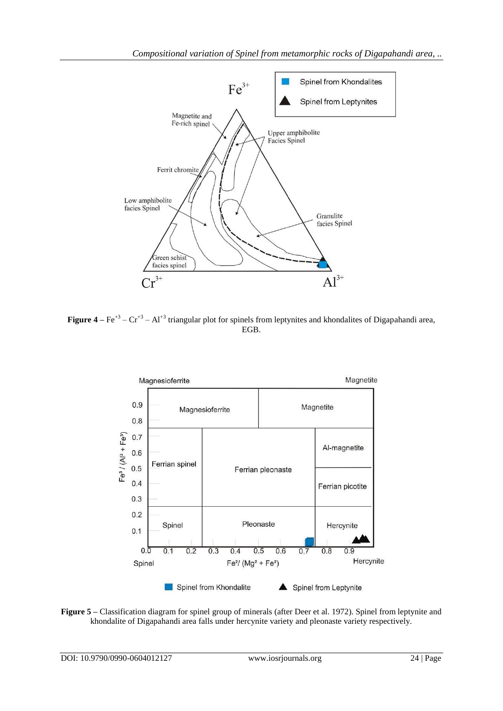

**Figure 4** –  $\text{Fe}^{+3}$  –  $\text{Cr}^{+3}$  – Al<sup>+3</sup> triangular plot for spinels from leptynites and khondalites of Digapahandi area, EGB.



**Figure 5 –** Classification diagram for spinel group of minerals (after Deer et al. 1972). Spinel from leptynite and khondalite of Digapahandi area falls under hercynite variety and pleonaste variety respectively.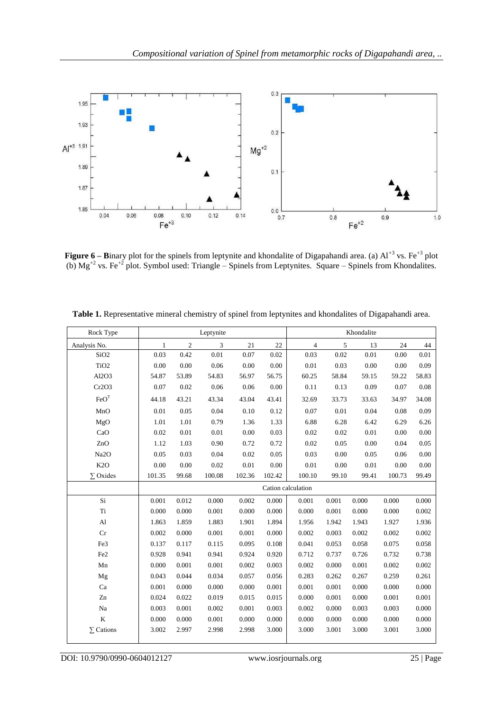

**Figure 6** – **B**inary plot for the spinels from leptynite and khondalite of Digapahandi area. (a) Al<sup>+3</sup> vs. Fe<sup>+3</sup> plot (b)  $Mg^{+2}$  vs. Fe<sup>+2</sup> plot. Symbol used: Triangle – Spinels from Leptynites. Square – Spinels from Khondalites.

| Rock Type        | Leptynite    |            |        |        | Khondalite |                    |       |       |        |       |
|------------------|--------------|------------|--------|--------|------------|--------------------|-------|-------|--------|-------|
| Analysis No.     | $\mathbf{1}$ | $\sqrt{2}$ | 3      | 21     | 22         | $\overline{4}$     | 5     | 13    | 24     | 44    |
| SiO <sub>2</sub> | 0.03         | 0.42       | 0.01   | 0.07   | 0.02       | 0.03               | 0.02  | 0.01  | 0.00   | 0.01  |
| TiO <sub>2</sub> | 0.00         | 0.00       | 0.06   | 0.00   | 0.00       | 0.01               | 0.03  | 0.00  | 0.00   | 0.09  |
| Al2O3            | 54.87        | 53.89      | 54.83  | 56.97  | 56.75      | 60.25              | 58.84 | 59.15 | 59.22  | 58.83 |
| Cr2O3            | 0.07         | 0.02       | 0.06   | 0.06   | 0.00       | 0.11               | 0.13  | 0.09  | 0.07   | 0.08  |
| FeO <sup>T</sup> | 44.18        | 43.21      | 43.34  | 43.04  | 43.41      | 32.69              | 33.73 | 33.63 | 34.97  | 34.08 |
| MnO              | 0.01         | 0.05       | 0.04   | 0.10   | 0.12       | 0.07               | 0.01  | 0.04  | 0.08   | 0.09  |
| MgO              | 1.01         | 1.01       | 0.79   | 1.36   | 1.33       | 6.88               | 6.28  | 6.42  | 6.29   | 6.26  |
| CaO              | 0.02         | 0.01       | 0.01   | 0.00   | 0.03       | 0.02               | 0.02  | 0.01  | 0.00   | 0.00  |
| ZnO              | 1.12         | 1.03       | 0.90   | 0.72   | 0.72       | 0.02               | 0.05  | 0.00  | 0.04   | 0.05  |
| Na2O             | 0.05         | 0.03       | 0.04   | 0.02   | 0.05       | 0.03               | 0.00  | 0.05  | 0.06   | 0.00  |
| K <sub>2</sub> O | 0.00         | 0.00       | 0.02   | 0.01   | 0.00       | 0.01               | 0.00  | 0.01  | 0.00   | 0.00  |
| $\Sigma$ Oxides  | 101.35       | 99.68      | 100.08 | 102.36 | 102.42     | 100.10             | 99.10 | 99.41 | 100.73 | 99.49 |
|                  |              |            |        |        |            | Cation calculation |       |       |        |       |
| Si               | 0.001        | 0.012      | 0.000  | 0.002  | 0.000      | 0.001              | 0.001 | 0.000 | 0.000  | 0.000 |
| Ti               | 0.000        | 0.000      | 0.001  | 0.000  | 0.000      | 0.000              | 0.001 | 0.000 | 0.000  | 0.002 |
| Al               | 1.863        | 1.859      | 1.883  | 1.901  | 1.894      | 1.956              | 1.942 | 1.943 | 1.927  | 1.936 |
| Cr               | 0.002        | 0.000      | 0.001  | 0.001  | 0.000      | 0.002              | 0.003 | 0.002 | 0.002  | 0.002 |
| Fe3              | 0.137        | 0.117      | 0.115  | 0.095  | 0.108      | 0.041              | 0.053 | 0.058 | 0.075  | 0.058 |
| Fe <sub>2</sub>  | 0.928        | 0.941      | 0.941  | 0.924  | 0.920      | 0.712              | 0.737 | 0.726 | 0.732  | 0.738 |
| Mn               | 0.000        | 0.001      | 0.001  | 0.002  | 0.003      | 0.002              | 0.000 | 0.001 | 0.002  | 0.002 |
| Mg               | 0.043        | 0.044      | 0.034  | 0.057  | 0.056      | 0.283              | 0.262 | 0.267 | 0.259  | 0.261 |
| Ca               | 0.001        | 0.000      | 0.000  | 0.000  | 0.001      | 0.001              | 0.001 | 0.000 | 0.000  | 0.000 |
| Zn               | 0.024        | 0.022      | 0.019  | 0.015  | 0.015      | 0.000              | 0.001 | 0.000 | 0.001  | 0.001 |
| Na               | 0.003        | 0.001      | 0.002  | 0.001  | 0.003      | 0.002              | 0.000 | 0.003 | 0.003  | 0.000 |
| $\bf K$          | 0.000        | 0.000      | 0.001  | 0.000  | 0.000      | 0.000              | 0.000 | 0.000 | 0.000  | 0.000 |
| $\Sigma$ Cations | 3.002        | 2.997      | 2.998  | 2.998  | 3.000      | 3.000              | 3.001 | 3.000 | 3.001  | 3.000 |

**Table 1.** Representative mineral chemistry of spinel from leptynites and khondalites of Digapahandi area.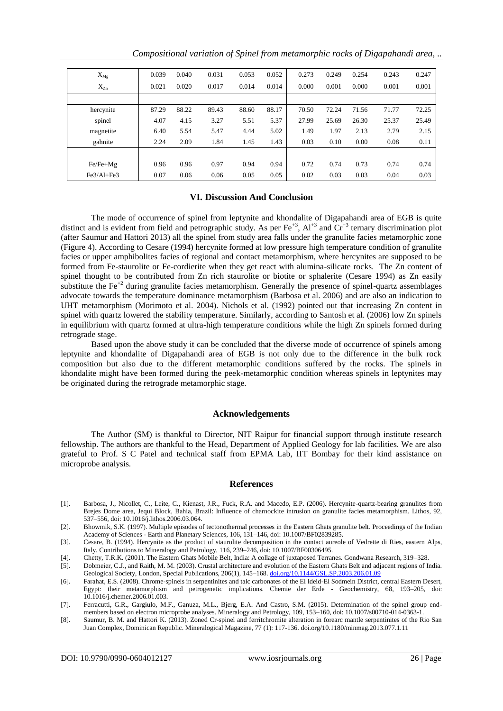| $X_{Mg}$   | 0.039 | 0.040 | 0.031 | 0.053 | 0.052 | 0.273 | 0.249 | 0.254 | 0.243 | 0.247 |
|------------|-------|-------|-------|-------|-------|-------|-------|-------|-------|-------|
| $X_{Zn}$   | 0.021 | 0.020 | 0.017 | 0.014 | 0.014 | 0.000 | 0.001 | 0.000 | 0.001 | 0.001 |
|            |       |       |       |       |       |       |       |       |       |       |
| hercynite  | 87.29 | 88.22 | 89.43 | 88.60 | 88.17 | 70.50 | 72.24 | 71.56 | 71.77 | 72.25 |
| spinel     | 4.07  | 4.15  | 3.27  | 5.51  | 5.37  | 27.99 | 25.69 | 26.30 | 25.37 | 25.49 |
| magnetite  | 6.40  | 5.54  | 5.47  | 4.44  | 5.02  | 1.49  | 1.97  | 2.13  | 2.79  | 2.15  |
| gahnite    | 2.24  | 2.09  | 1.84  | 1.45  | 1.43  | 0.03  | 0.10  | 0.00  | 0.08  | 0.11  |
|            |       |       |       |       |       |       |       |       |       |       |
| $Fe/Fe+Mg$ | 0.96  | 0.96  | 0.97  | 0.94  | 0.94  | 0.72  | 0.74  | 0.73  | 0.74  | 0.74  |
| Fe3/Al+Fe3 | 0.07  | 0.06  | 0.06  | 0.05  | 0.05  | 0.02  | 0.03  | 0.03  | 0.04  | 0.03  |

### **VI. Discussion And Conclusion**

The mode of occurrence of spinel from leptynite and khondalite of Digapahandi area of EGB is quite distinct and is evident from field and petrographic study. As per  $\text{Fe}^{+3}$ ,  $\text{Al}^{+3}$  and  $\text{Cr}^{+3}$  ternary discrimination plot (after Saumur and Hattori 2013) all the spinel from study area falls under the granulite facies metamorphic zone (Figure 4). According to Cesare (1994) hercynite formed at low pressure high temperature condition of granulite facies or upper amphibolites facies of regional and contact metamorphism, where hercynites are supposed to be formed from Fe-staurolite or Fe-cordierite when they get react with alumina-silicate rocks. The Zn content of spinel thought to be contributed from Zn rich staurolite or biotite or sphalerite (Cesare 1994) as Zn easily substitute the  $Fe^{+2}$  during granulite facies metamorphism. Generally the presence of spinel-quartz assemblages advocate towards the temperature dominance metamorphism (Barbosa et al. 2006) and are also an indication to UHT metamorphism (Morimoto et al. 2004). Nichols et al. (1992) pointed out that increasing Zn content in spinel with quartz lowered the stability temperature. Similarly, according to Santosh et al. (2006) low Zn spinels in equilibrium with quartz formed at ultra-high temperature conditions while the high Zn spinels formed during retrograde stage.

Based upon the above study it can be concluded that the diverse mode of occurrence of spinels among leptynite and khondalite of Digapahandi area of EGB is not only due to the difference in the bulk rock composition but also due to the different metamorphic conditions suffered by the rocks. The spinels in khondalite might have been formed during the peek-metamorphic condition whereas spinels in leptynites may be originated during the retrograde metamorphic stage.

#### **Acknowledgements**

The Author (SM) is thankful to Director, NIT Raipur for financial support through institute research fellowship. The authors are thankful to the Head, Department of Applied Geology for lab facilities. We are also grateful to Prof. S C Patel and technical staff from EPMA Lab, IIT Bombay for their kind assistance on microprobe analysis.

#### **References**

- [1]. Barbosa, J., Nicollet, C., Leite, C., Kienast, J.R., Fuck, R.A. and Macedo, E.P. (2006). Hercynite-quartz-bearing granulites from Brejes Dome area, Jequi Block, Bahia, Brazil: Influence of charnockite intrusion on granulite facies metamorphism. Lithos, 92, 537–556, doi: 10.1016/j.lithos.2006.03.064.
- [2]. Bhowmik, S.K. (1997). Multiple episodes of tectonothermal processes in the Eastern Ghats granulite belt. Proceedings of the Indian Academy of Sciences - Earth and Planetary Sciences, 106, 131–146, doi: 10.1007/BF02839285.
- [3]. Cesare, B. (1994). Hercynite as the product of staurolite decomposition in the contact aureole of Vedrette di Ries, eastern Alps, Italy. Contributions to Mineralogy and Petrology, 116, 239–246, doi: 10.1007/BF00306495.
- [4]. Chetty, T.R.K. (2001). The Eastern Ghats Mobile Belt, India: A collage of juxtaposed Terranes. Gondwana Research, 319–328.
- [5]. Dobmeier, C.J., and Raith, M. M. (2003). Crustal architecture and evolution of the Eastern Ghats Belt and adjacent regions of India. Geological Society, London, Special Publications, 206(1), 145–168[. doi.org/10.1144/GSL.SP.2003.206.01.09](https://doi.org/10.1144/GSL.SP.2003.206.01.09)
- [6]. Farahat, E.S. (2008). Chrome-spinels in serpentinites and talc carbonates of the El Ideid-El Sodmein District, central Eastern Desert, Egypt: their metamorphism and petrogenetic implications. Chemie der Erde - Geochemistry, 68, 193–205, doi: 10.1016/j.chemer.2006.01.003.
- [7]. Ferracutti, G.R., Gargiulo, M.F., Ganuza, M.L., Bjerg, E.A. And Castro, S.M. (2015). Determination of the spinel group endmembers based on electron microprobe analyses. Mineralogy and Petrology, 109, 153-160, doi: 10.1007/s00710-014-0363-1.
- [8]. Saumur, B. M. and Hattori K. (2013). Zoned Cr-spinel and ferritchromite alteration in forearc mantle serpentinites of the Rio San Juan Complex, Dominican Republic. Mineralogical Magazine, 77 (1): 117-136. doi.org/10.1180/minmag.2013.077.1.11